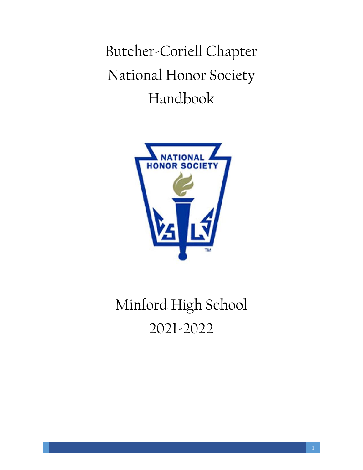Butcher-Coriell Chapter National Honor Society Handbook



# Minford High School 2021-2022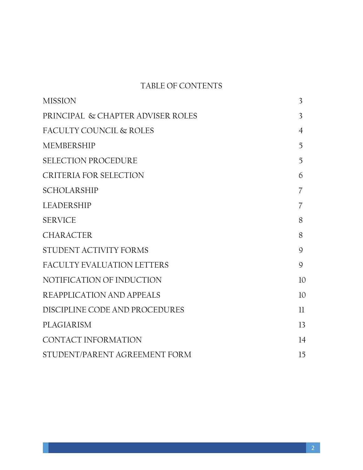## TABLE OF CONTENTS

| <b>MISSION</b>                    | $\overline{3}$ |
|-----------------------------------|----------------|
| PRINCIPAL & CHAPTER ADVISER ROLES | $\overline{3}$ |
| FACULTY COUNCIL & ROLES           | 4              |
| <b>MEMBERSHIP</b>                 | 5              |
| <b>SELECTION PROCEDURE</b>        | 5              |
| CRITERIA FOR SELECTION            | 6              |
| <b>SCHOLARSHIP</b>                | 7              |
| LEADERSHIP                        | 7              |
| <b>SERVICE</b>                    | 8              |
| <b>CHARACTER</b>                  | 8              |
| STUDENT ACTIVITY FORMS            | 9              |
| <b>FACULTY EVALUATION LETTERS</b> | 9              |
| NOTIFICATION OF INDUCTION         | 10             |
| REAPPLICATION AND APPEALS         | 10             |
| DISCIPLINE CODE AND PROCEDURES    | 11             |
| <b>PLAGIARISM</b>                 | 13             |
| CONTACT INFORMATION               | 14             |
| STUDENT/PARENT AGREEMENT FORM     | 15             |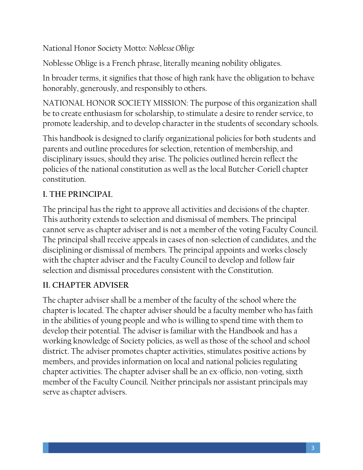National Honor Society Motto: *Noblesse Oblige*

Noblesse Oblige is a French phrase, literally meaning nobility obligates.

In broader terms, it signifies that those of high rank have the obligation to behave honorably, generously, and responsibly to others.

NATIONAL HONOR SOCIETY MISSION: The purpose of this organization shall be to create enthusiasm for scholarship, to stimulate a desire to render service, to promote leadership, and to develop character in the students of secondary schools.

This handbook is designed to clarify organizational policies for both students and parents and outline procedures for selection, retention of membership, and disciplinary issues, should they arise. The policies outlined herein reflect the policies of the national constitution as well as the local Butcher-Coriell chapter constitution.

# **I. THE PRINCIPAL**

The principal has the right to approve all activities and decisions of the chapter. This authority extends to selection and dismissal of members. The principal cannot serve as chapter adviser and is not a member of the voting Faculty Council. The principal shall receive appeals in cases of non-selection of candidates, and the disciplining or dismissal of members. The principal appoints and works closely with the chapter adviser and the Faculty Council to develop and follow fair selection and dismissal procedures consistent with the Constitution.

## **II. CHAPTER ADVISER**

The chapter adviser shall be a member of the faculty of the school where the chapter is located. The chapter adviser should be a faculty member who has faith in the abilities of young people and who is willing to spend time with them to develop their potential. The adviser is familiar with the Handbook and has a working knowledge of Society policies, as well as those of the school and school district. The adviser promotes chapter activities, stimulates positive actions by members, and provides information on local and national policies regulating chapter activities. The chapter adviser shall be an ex-officio, non-voting, sixth member of the Faculty Council. Neither principals nor assistant principals may serve as chapter advisers.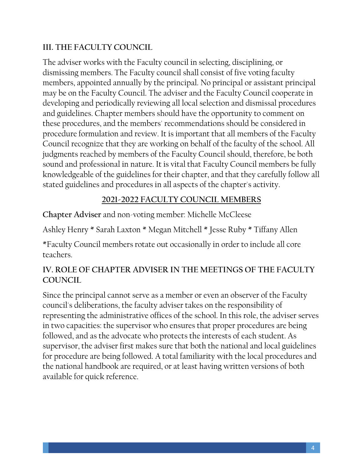#### **III. THE FACULTY COUNCIL**

The adviser works with the Faculty council in selecting, disciplining, or dismissing members. The Faculty council shall consist of five voting faculty members, appointed annually by the principal. No principal or assistant principal may be on the Faculty Council. The adviser and the Faculty Council cooperate in developing and periodically reviewing all local selection and dismissal procedures and guidelines. Chapter members should have the opportunity to comment on these procedures, and the members' recommendations should be considered in procedure formulation and review. It is important that all members of the Faculty Council recognize that they are working on behalf of the faculty of the school. All judgments reached by members of the Faculty Council should, therefore, be both sound and professional in nature. It is vital that Faculty Council members be fully knowledgeable of the guidelines for their chapter, and that they carefully follow all stated guidelines and procedures in all aspects of the chapter's activity.

#### **2021-2022 FACULTY COUNCIL MEMBERS**

**Chapter Adviser** and non-voting member: Michelle McCleese

Ashley Henry \* Sarah Laxton \* Megan Mitchell \* Jesse Ruby \* Tiffany Allen

\*Faculty Council members rotate out occasionally in order to include all core teachers.

#### **IV. ROLE OF CHAPTER ADVISER IN THE MEETINGS OF THE FACULTY COUNCIL**

Since the principal cannot serve as a member or even an observer of the Faculty council's deliberations, the faculty adviser takes on the responsibility of representing the administrative offices of the school. In this role, the adviser serves in two capacities: the supervisor who ensures that proper procedures are being followed, and as the advocate who protects the interests of each student. As supervisor, the adviser first makes sure that both the national and local guidelines for procedure are being followed. A total familiarity with the local procedures and the national handbook are required, or at least having written versions of both available for quick reference.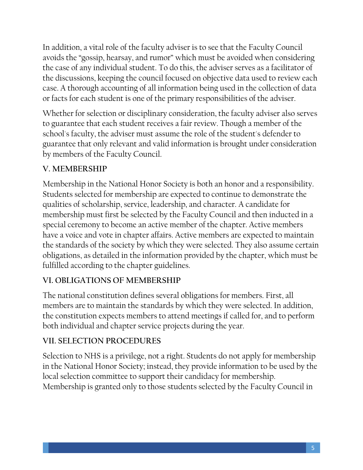In addition, a vital role of the faculty adviser is to see that the Faculty Council avoids the "gossip, hearsay, and rumor" which must be avoided when considering the case of any individual student. To do this, the adviser serves as a facilitator of the discussions, keeping the council focused on objective data used to review each case. A thorough accounting of all information being used in the collection of data or facts for each student is one of the primary responsibilities of the adviser.

Whether for selection or disciplinary consideration, the faculty adviser also serves to guarantee that each student receives a fair review. Though a member of the school's faculty, the adviser must assume the role of the student's defender to guarantee that only relevant and valid information is brought under consideration by members of the Faculty Council.

# **V. MEMBERSHIP**

Membership in the National Honor Society is both an honor and a responsibility. Students selected for membership are expected to continue to demonstrate the qualities of scholarship, service, leadership, and character. A candidate for membership must first be selected by the Faculty Council and then inducted in a special ceremony to become an active member of the chapter. Active members have a voice and vote in chapter affairs. Active members are expected to maintain the standards of the society by which they were selected. They also assume certain obligations, as detailed in the information provided by the chapter, which must be fulfilled according to the chapter guidelines.

# **VI. OBLIGATIONS OF MEMBERSHIP**

The national constitution defines several obligations for members. First, all members are to maintain the standards by which they were selected. In addition, the constitution expects members to attend meetings if called for, and to perform both individual and chapter service projects during the year.

## **VII. SELECTION PROCEDURES**

Selection to NHS is a privilege, not a right. Students do not apply for membership in the National Honor Society; instead, they provide information to be used by the local selection committee to support their candidacy for membership. Membership is granted only to those students selected by the Faculty Council in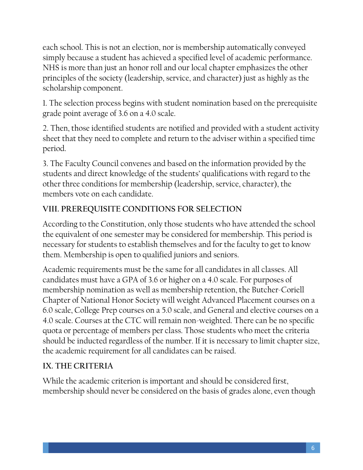each school. This is not an election, nor is membership automatically conveyed simply because a student has achieved a specified level of academic performance. NHS is more than just an honor roll and our local chapter emphasizes the other principles of the society (leadership, service, and character) just as highly as the scholarship component.

1. The selection process begins with student nomination based on the prerequisite grade point average of 3.6 on a 4.0 scale.

2. Then, those identified students are notified and provided with a student activity sheet that they need to complete and return to the adviser within a specified time period.

3. The Faculty Council convenes and based on the information provided by the students and direct knowledge of the students' qualifications with regard to the other three conditions for membership (leadership, service, character), the members vote on each candidate.

# **VIII. PREREQUISITE CONDITIONS FOR SELECTION**

According to the Constitution, only those students who have attended the school the equivalent of one semester may be considered for membership. This period is necessary for students to establish themselves and for the faculty to get to know them. Membership is open to qualified juniors and seniors.

Academic requirements must be the same for all candidates in all classes. All candidates must have a GPA of 3.6 or higher on a 4.0 scale. For purposes of membership nomination as well as membership retention, the Butcher-Coriell Chapter of National Honor Society will weight Advanced Placement courses on a 6.0 scale, College Prep courses on a 5.0 scale, and General and elective courses on a 4.0 scale. Courses at the CTC will remain non-weighted. There can be no specific quota or percentage of members per class. Those students who meet the criteria should be inducted regardless of the number. If it is necessary to limit chapter size, the academic requirement for all candidates can be raised.

# **IX. THE CRITERIA**

While the academic criterion is important and should be considered first, membership should never be considered on the basis of grades alone, even though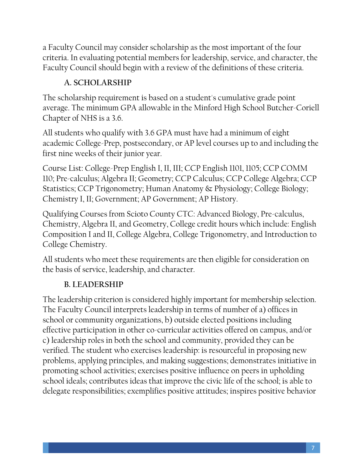a Faculty Council may consider scholarship as the most important of the four criteria. In evaluating potential members for leadership, service, and character, the Faculty Council should begin with a review of the definitions of these criteria.

# **A. SCHOLARSHIP**

The scholarship requirement is based on a student's cumulative grade point average. The minimum GPA allowable in the Minford High School Butcher-Coriell Chapter of NHS is a 3.6.

All students who qualify with 3.6 GPA must have had a minimum of eight academic College-Prep, postsecondary, or AP level courses up to and including the first nine weeks of their junior year.

Course List: College-Prep English I, II, III; CCP English 1101, 1105; CCP COMM 110; Pre-calculus; Algebra II; Geometry; CCP Calculus; CCP College Algebra; CCP Statistics; CCP Trigonometry; Human Anatomy & Physiology; College Biology; Chemistry I, II; Government; AP Government; AP History.

Qualifying Courses from Scioto County CTC: Advanced Biology, Pre-calculus, Chemistry, Algebra II, and Geometry, College credit hours which include: English Composition I and II, College Algebra, College Trigonometry, and Introduction to College Chemistry.

All students who meet these requirements are then eligible for consideration on the basis of service, leadership, and character.

# **B. LEADERSHIP**

The leadership criterion is considered highly important for membership selection. The Faculty Council interprets leadership in terms of number of a) offices in school or community organizations, b) outside elected positions including effective participation in other co-curricular activities offered on campus, and/or c) leadership roles in both the school and community, provided they can be verified. The student who exercises leadership: is resourceful in proposing new problems, applying principles, and making suggestions; demonstrates initiative in promoting school activities; exercises positive influence on peers in upholding school ideals; contributes ideas that improve the civic life of the school; is able to delegate responsibilities; exemplifies positive attitudes; inspires positive behavior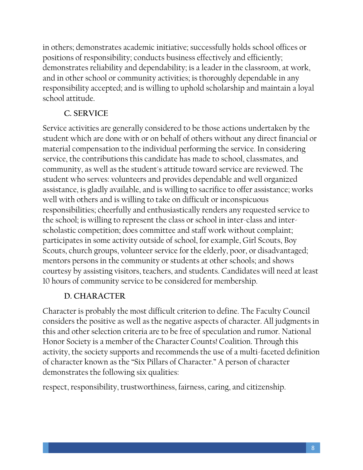in others; demonstrates academic initiative; successfully holds school offices or positions of responsibility; conducts business effectively and efficiently; demonstrates reliability and dependability; is a leader in the classroom, at work, and in other school or community activities; is thoroughly dependable in any responsibility accepted; and is willing to uphold scholarship and maintain a loyal school attitude.

## **C. SERVICE**

Service activities are generally considered to be those actions undertaken by the student which are done with or on behalf of others without any direct financial or material compensation to the individual performing the service. In considering service, the contributions this candidate has made to school, classmates, and community, as well as the student's attitude toward service are reviewed. The student who serves: volunteers and provides dependable and well organized assistance, is gladly available, and is willing to sacrifice to offer assistance; works well with others and is willing to take on difficult or inconspicuous responsibilities; cheerfully and enthusiastically renders any requested service to the school; is willing to represent the class or school in inter-class and interscholastic competition; does committee and staff work without complaint; participates in some activity outside of school, for example, Girl Scouts, Boy Scouts, church groups, volunteer service for the elderly, poor, or disadvantaged; mentors persons in the community or students at other schools; and shows courtesy by assisting visitors, teachers, and students. Candidates will need at least 10 hours of community service to be considered for membership.

# **D. CHARACTER**

Character is probably the most difficult criterion to define. The Faculty Council considers the positive as well as the negative aspects of character. All judgments in this and other selection criteria are to be free of speculation and rumor. National Honor Society is a member of the Character Counts! Coalition. Through this activity, the society supports and recommends the use of a multi-faceted definition of character known as the "Six Pillars of Character." A person of character demonstrates the following six qualities:

respect, responsibility, trustworthiness, fairness, caring, and citizenship.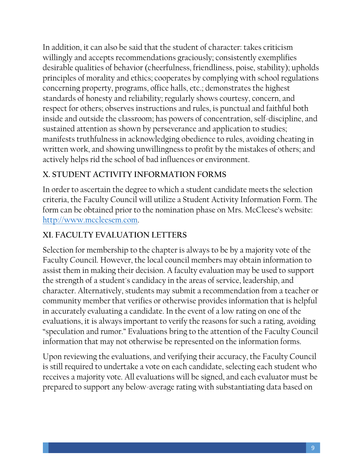In addition, it can also be said that the student of character: takes criticism willingly and accepts recommendations graciously; consistently exemplifies desirable qualities of behavior (cheerfulness, friendliness, poise, stability); upholds principles of morality and ethics; cooperates by complying with school regulations concerning property, programs, office halls, etc.; demonstrates the highest standards of honesty and reliability; regularly shows courtesy, concern, and respect for others; observes instructions and rules, is punctual and faithful both inside and outside the classroom; has powers of concentration, self-discipline, and sustained attention as shown by perseverance and application to studies; manifests truthfulness in acknowledging obedience to rules, avoiding cheating in written work, and showing unwillingness to profit by the mistakes of others; and actively helps rid the school of bad influences or environment.

## **X. STUDENT ACTIVITY INFORMATION FORMS**

In order to ascertain the degree to which a student candidate meets the selection criteria, the Faculty Council will utilize a Student Activity Information Form. The form can be obtained prior to the nomination phase on Mrs. McCleese's website: [http://www.mccleesem.com.](http://www.mccleesem.com/)

## **XI. FACULTY EVALUATION LETTERS**

Selection for membership to the chapter is always to be by a majority vote of the Faculty Council. However, the local council members may obtain information to assist them in making their decision. A faculty evaluation may be used to support the strength of a student's candidacy in the areas of service, leadership, and character. Alternatively, students may submit a recommendation from a teacher or community member that verifies or otherwise provides information that is helpful in accurately evaluating a candidate. In the event of a low rating on one of the evaluations, it is always important to verify the reasons for such a rating, avoiding "speculation and rumor." Evaluations bring to the attention of the Faculty Council information that may not otherwise be represented on the information forms.

Upon reviewing the evaluations, and verifying their accuracy, the Faculty Council is still required to undertake a vote on each candidate, selecting each student who receives a majority vote. All evaluations will be signed, and each evaluator must be prepared to support any below-average rating with substantiating data based on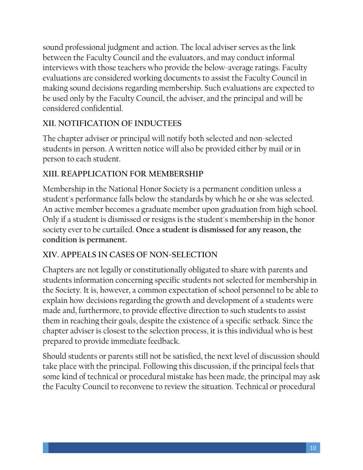sound professional judgment and action. The local adviser serves as the link between the Faculty Council and the evaluators, and may conduct informal interviews with those teachers who provide the below-average ratings. Faculty evaluations are considered working documents to assist the Faculty Council in making sound decisions regarding membership. Such evaluations are expected to be used only by the Faculty Council, the adviser, and the principal and will be considered confidential.

## **XII. NOTIFICATION OF INDUCTEES**

The chapter adviser or principal will notify both selected and non-selected students in person. A written notice will also be provided either by mail or in person to each student.

## **XIII. REAPPLICATION FOR MEMBERSHIP**

Membership in the National Honor Society is a permanent condition unless a student's performance falls below the standards by which he or she was selected. An active member becomes a graduate member upon graduation from high school. Only if a student is dismissed or resigns is the student's membership in the honor society ever to be curtailed. **Once a student is dismissed for any reason, the condition is permanent.**

#### **XIV. APPEALS IN CASES OF NON-SELECTION**

Chapters are not legally or constitutionally obligated to share with parents and students information concerning specific students not selected for membership in the Society. It is, however, a common expectation of school personnel to be able to explain how decisions regarding the growth and development of a students were made and, furthermore, to provide effective direction to such students to assist them in reaching their goals, despite the existence of a specific setback. Since the chapter adviser is closest to the selection process, it is this individual who is best prepared to provide immediate feedback.

Should students or parents still not be satisfied, the next level of discussion should take place with the principal. Following this discussion, if the principal feels that some kind of technical or procedural mistake has been made, the principal may ask the Faculty Council to reconvene to review the situation. Technical or procedural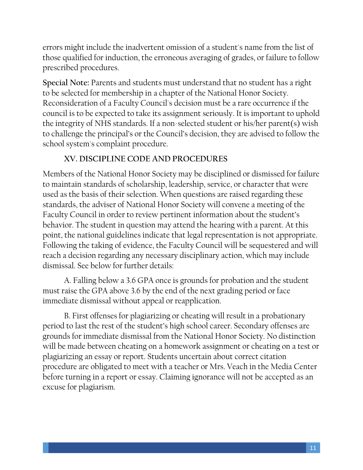errors might include the inadvertent omission of a student's name from the list of those qualified for induction, the erroneous averaging of grades, or failure to follow prescribed procedures.

**Special Note:** Parents and students must understand that no student has a right to be selected for membership in a chapter of the National Honor Society. Reconsideration of a Faculty Council's decision must be a rare occurrence if the council is to be expected to take its assignment seriously. It is important to uphold the integrity of NHS standards. If a non-selected student or his/her parent(s) wish to challenge the principal's or the Council's decision, they are advised to follow the school system's complaint procedure.

## **XV. DISCIPLINE CODE AND PROCEDURES**

Members of the National Honor Society may be disciplined or dismissed for failure to maintain standards of scholarship, leadership, service, or character that were used as the basis of their selection. When questions are raised regarding these standards, the adviser of National Honor Society will convene a meeting of the Faculty Council in order to review pertinent information about the student's behavior. The student in question may attend the hearing with a parent. At this point, the national guidelines indicate that legal representation is not appropriate. Following the taking of evidence, the Faculty Council will be sequestered and will reach a decision regarding any necessary disciplinary action, which may include dismissal. See below for further details:

A. Falling below a 3.6 GPA once is grounds for probation and the student must raise the GPA above 3.6 by the end of the next grading period or face immediate dismissal without appeal or reapplication.

B. First offenses for plagiarizing or cheating will result in a probationary period to last the rest of the student's high school career. Secondary offenses are grounds for immediate dismissal from the National Honor Society. No distinction will be made between cheating on a homework assignment or cheating on a test or plagiarizing an essay or report. Students uncertain about correct citation procedure are obligated to meet with a teacher or Mrs. Veach in the Media Center before turning in a report or essay. Claiming ignorance will not be accepted as an excuse for plagiarism.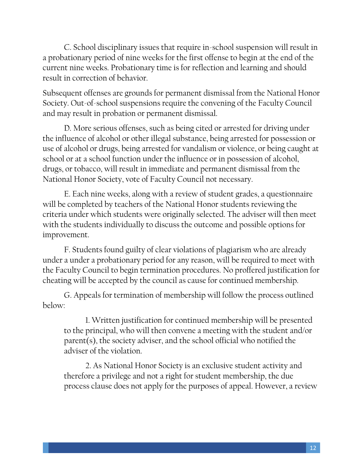C. School disciplinary issues that require in-school suspension will result in a probationary period of nine weeks for the first offense to begin at the end of the current nine weeks. Probationary time is for reflection and learning and should result in correction of behavior.

Subsequent offenses are grounds for permanent dismissal from the National Honor Society. Out-of-school suspensions require the convening of the Faculty Council and may result in probation or permanent dismissal.

D. More serious offenses, such as being cited or arrested for driving under the influence of alcohol or other illegal substance, being arrested for possession or use of alcohol or drugs, being arrested for vandalism or violence, or being caught at school or at a school function under the influence or in possession of alcohol, drugs, or tobacco, will result in immediate and permanent dismissal from the National Honor Society, vote of Faculty Council not necessary.

E. Each nine weeks, along with a review of student grades, a questionnaire will be completed by teachers of the National Honor students reviewing the criteria under which students were originally selected. The adviser will then meet with the students individually to discuss the outcome and possible options for improvement.

F. Students found guilty of clear violations of plagiarism who are already under a under a probationary period for any reason, will be required to meet with the Faculty Council to begin termination procedures. No proffered justification for cheating will be accepted by the council as cause for continued membership.

G. Appeals for termination of membership will follow the process outlined below:

1. Written justification for continued membership will be presented to the principal, who will then convene a meeting with the student and/or parent(s), the society adviser, and the school official who notified the adviser of the violation.

2. As National Honor Society is an exclusive student activity and therefore a privilege and not a right for student membership, the due process clause does not apply for the purposes of appeal. However, a review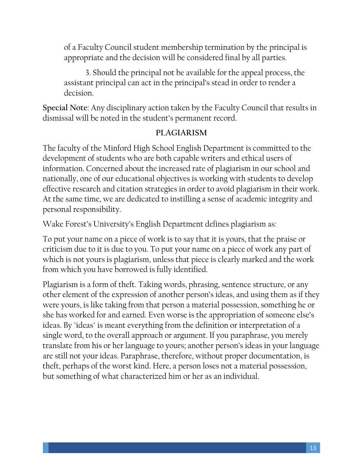of a Faculty Council student membership termination by the principal is appropriate and the decision will be considered final by all parties.

3. Should the principal not be available for the appeal process, the assistant principal can act in the principal's stead in order to render a decision.

**Special Note**: Any disciplinary action taken by the Faculty Council that results in dismissal will be noted in the student's permanent record.

#### **PLAGIARISM**

The faculty of the Minford High School English Department is committed to the development of students who are both capable writers and ethical users of information. Concerned about the increased rate of plagiarism in our school and nationally, one of our educational objectives is working with students to develop effective research and citation strategies in order to avoid plagiarism in their work. At the same time, we are dedicated to instilling a sense of academic integrity and personal responsibility.

Wake Forest's University's English Department defines plagiarism as:

To put your name on a piece of work is to say that it is yours, that the praise or criticism due to it is due to you. To put your name on a piece of work any part of which is not yours is plagiarism, unless that piece is clearly marked and the work from which you have borrowed is fully identified.

Plagiarism is a form of theft. Taking words, phrasing, sentence structure, or any other element of the expression of another person's ideas, and using them as if they were yours, is like taking from that person a material possession, something he or she has worked for and earned. Even worse is the appropriation of someone else's ideas. By "ideas" is meant everything from the definition or interpretation of a single word, to the overall approach or argument. If you paraphrase, you merely translate from his or her language to yours; another person's ideas in your language are still not your ideas. Paraphrase, therefore, without proper documentation, is theft, perhaps of the worst kind. Here, a person loses not a material possession, but something of what characterized him or her as an individual.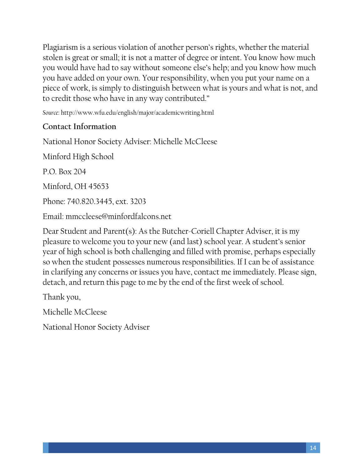Plagiarism is a serious violation of another person's rights, whether the material stolen is great or small; it is not a matter of degree or intent. You know how much you would have had to say without someone else's help; and you know how much you have added on your own. Your responsibility, when you put your name on a piece of work, is simply to distinguish between what is yours and what is not, and to credit those who have in any way contributed."

*Source*: http://www.wfu.edu/english/major/academicwriting.html

#### **Contact Information**

National Honor Society Adviser: Michelle McCleese Minford High School P.O. Box 204 Minford, OH 45653 Phone: 740.820.3445, ext. 3203 Email: mmccleese@minfordfalcons.net

Dear Student and Parent(s): As the Butcher-Coriell Chapter Adviser, it is my pleasure to welcome you to your new (and last) school year. A student's senior year of high school is both challenging and filled with promise, perhaps especially so when the student possesses numerous responsibilities. If I can be of assistance in clarifying any concerns or issues you have, contact me immediately. Please sign, detach, and return this page to me by the end of the first week of school.

Thank you,

Michelle McCleese

National Honor Society Adviser